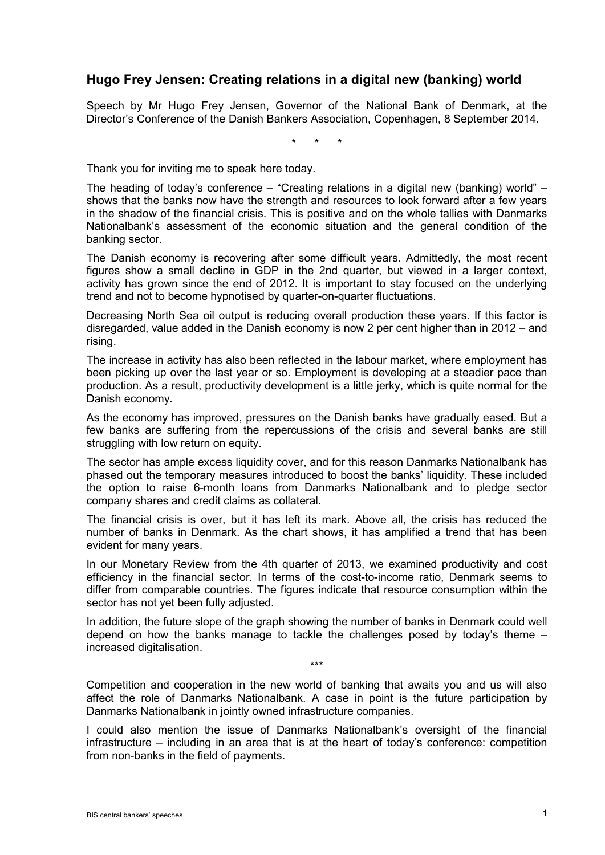## **Hugo Frey Jensen: Creating relations in a digital new (banking) world**

Speech by Mr Hugo Frey Jensen, Governor of the National Bank of Denmark, at the Director's Conference of the Danish Bankers Association, Copenhagen, 8 September 2014.

\* \* \*

Thank you for inviting me to speak here today.

The heading of today's conference – "Creating relations in a digital new (banking) world" – shows that the banks now have the strength and resources to look forward after a few years in the shadow of the financial crisis. This is positive and on the whole tallies with Danmarks Nationalbank's assessment of the economic situation and the general condition of the banking sector.

The Danish economy is recovering after some difficult years. Admittedly, the most recent figures show a small decline in GDP in the 2nd quarter, but viewed in a larger context, activity has grown since the end of 2012. It is important to stay focused on the underlying trend and not to become hypnotised by quarter-on-quarter fluctuations.

Decreasing North Sea oil output is reducing overall production these years. If this factor is disregarded, value added in the Danish economy is now 2 per cent higher than in 2012 – and rising.

The increase in activity has also been reflected in the labour market, where employment has been picking up over the last year or so. Employment is developing at a steadier pace than production. As a result, productivity development is a little jerky, which is quite normal for the Danish economy.

As the economy has improved, pressures on the Danish banks have gradually eased. But a few banks are suffering from the repercussions of the crisis and several banks are still struggling with low return on equity.

The sector has ample excess liquidity cover, and for this reason Danmarks Nationalbank has phased out the temporary measures introduced to boost the banks' liquidity. These included the option to raise 6-month loans from Danmarks Nationalbank and to pledge sector company shares and credit claims as collateral.

The financial crisis is over, but it has left its mark. Above all, the crisis has reduced the number of banks in Denmark. As the chart shows, it has amplified a trend that has been evident for many years.

In our Monetary Review from the 4th quarter of 2013, we examined productivity and cost efficiency in the financial sector. In terms of the cost-to-income ratio, Denmark seems to differ from comparable countries. The figures indicate that resource consumption within the sector has not yet been fully adjusted.

In addition, the future slope of the graph showing the number of banks in Denmark could well depend on how the banks manage to tackle the challenges posed by today's theme – increased digitalisation.

Competition and cooperation in the new world of banking that awaits you and us will also affect the role of Danmarks Nationalbank. A case in point is the future participation by Danmarks Nationalbank in jointly owned infrastructure companies.

\*\*\*

I could also mention the issue of Danmarks Nationalbank's oversight of the financial infrastructure – including in an area that is at the heart of today's conference: competition from non-banks in the field of payments.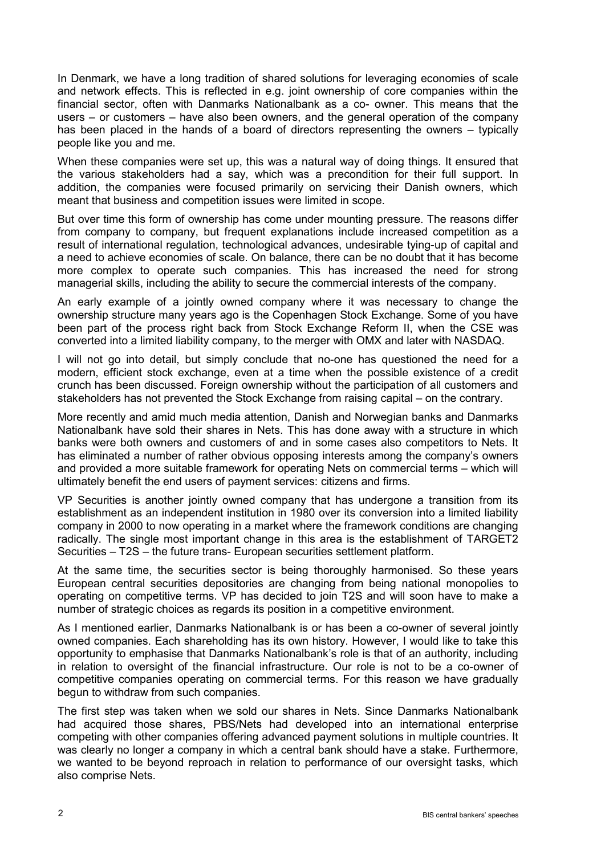In Denmark, we have a long tradition of shared solutions for leveraging economies of scale and network effects. This is reflected in e.g. joint ownership of core companies within the financial sector, often with Danmarks Nationalbank as a co- owner. This means that the users – or customers – have also been owners, and the general operation of the company has been placed in the hands of a board of directors representing the owners – typically people like you and me.

When these companies were set up, this was a natural way of doing things. It ensured that the various stakeholders had a say, which was a precondition for their full support. In addition, the companies were focused primarily on servicing their Danish owners, which meant that business and competition issues were limited in scope.

But over time this form of ownership has come under mounting pressure. The reasons differ from company to company, but frequent explanations include increased competition as a result of international regulation, technological advances, undesirable tying-up of capital and a need to achieve economies of scale. On balance, there can be no doubt that it has become more complex to operate such companies. This has increased the need for strong managerial skills, including the ability to secure the commercial interests of the company.

An early example of a jointly owned company where it was necessary to change the ownership structure many years ago is the Copenhagen Stock Exchange. Some of you have been part of the process right back from Stock Exchange Reform II, when the CSE was converted into a limited liability company, to the merger with OMX and later with NASDAQ.

I will not go into detail, but simply conclude that no-one has questioned the need for a modern, efficient stock exchange, even at a time when the possible existence of a credit crunch has been discussed. Foreign ownership without the participation of all customers and stakeholders has not prevented the Stock Exchange from raising capital – on the contrary.

More recently and amid much media attention, Danish and Norwegian banks and Danmarks Nationalbank have sold their shares in Nets. This has done away with a structure in which banks were both owners and customers of and in some cases also competitors to Nets. It has eliminated a number of rather obvious opposing interests among the company's owners and provided a more suitable framework for operating Nets on commercial terms – which will ultimately benefit the end users of payment services: citizens and firms.

VP Securities is another jointly owned company that has undergone a transition from its establishment as an independent institution in 1980 over its conversion into a limited liability company in 2000 to now operating in a market where the framework conditions are changing radically. The single most important change in this area is the establishment of TARGET2 Securities – T2S – the future trans- European securities settlement platform.

At the same time, the securities sector is being thoroughly harmonised. So these years European central securities depositories are changing from being national monopolies to operating on competitive terms. VP has decided to join T2S and will soon have to make a number of strategic choices as regards its position in a competitive environment.

As I mentioned earlier, Danmarks Nationalbank is or has been a co-owner of several jointly owned companies. Each shareholding has its own history. However, I would like to take this opportunity to emphasise that Danmarks Nationalbank's role is that of an authority, including in relation to oversight of the financial infrastructure. Our role is not to be a co-owner of competitive companies operating on commercial terms. For this reason we have gradually begun to withdraw from such companies.

The first step was taken when we sold our shares in Nets. Since Danmarks Nationalbank had acquired those shares, PBS/Nets had developed into an international enterprise competing with other companies offering advanced payment solutions in multiple countries. It was clearly no longer a company in which a central bank should have a stake. Furthermore, we wanted to be beyond reproach in relation to performance of our oversight tasks, which also comprise Nets.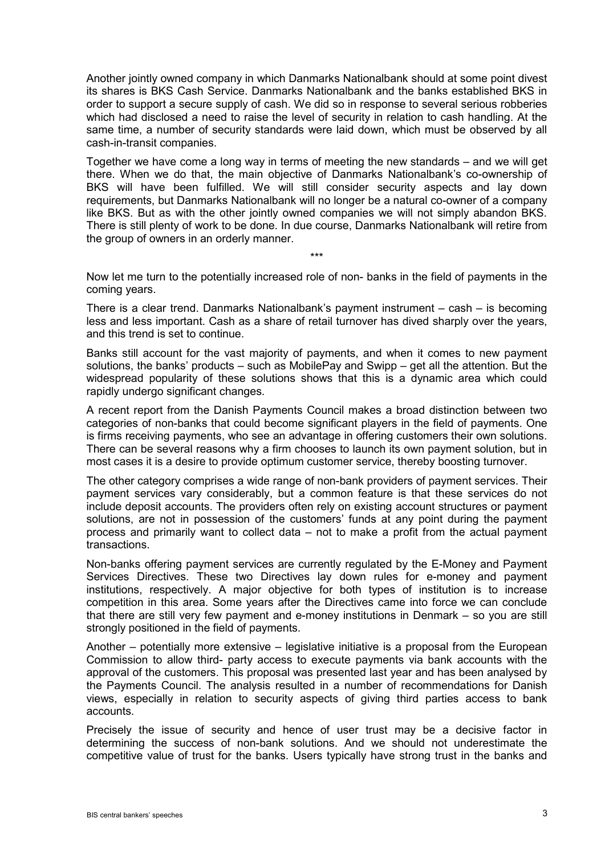Another jointly owned company in which Danmarks Nationalbank should at some point divest its shares is BKS Cash Service. Danmarks Nationalbank and the banks established BKS in order to support a secure supply of cash. We did so in response to several serious robberies which had disclosed a need to raise the level of security in relation to cash handling. At the same time, a number of security standards were laid down, which must be observed by all cash-in-transit companies.

Together we have come a long way in terms of meeting the new standards – and we will get there. When we do that, the main objective of Danmarks Nationalbank's co-ownership of BKS will have been fulfilled. We will still consider security aspects and lay down requirements, but Danmarks Nationalbank will no longer be a natural co-owner of a company like BKS. But as with the other jointly owned companies we will not simply abandon BKS. There is still plenty of work to be done. In due course, Danmarks Nationalbank will retire from the group of owners in an orderly manner.

Now let me turn to the potentially increased role of non- banks in the field of payments in the coming years.

\*\*\*

There is a clear trend. Danmarks Nationalbank's payment instrument – cash – is becoming less and less important. Cash as a share of retail turnover has dived sharply over the years, and this trend is set to continue.

Banks still account for the vast majority of payments, and when it comes to new payment solutions, the banks' products – such as MobilePay and Swipp – get all the attention. But the widespread popularity of these solutions shows that this is a dynamic area which could rapidly undergo significant changes.

A recent report from the Danish Payments Council makes a broad distinction between two categories of non-banks that could become significant players in the field of payments. One is firms receiving payments, who see an advantage in offering customers their own solutions. There can be several reasons why a firm chooses to launch its own payment solution, but in most cases it is a desire to provide optimum customer service, thereby boosting turnover.

The other category comprises a wide range of non-bank providers of payment services. Their payment services vary considerably, but a common feature is that these services do not include deposit accounts. The providers often rely on existing account structures or payment solutions, are not in possession of the customers' funds at any point during the payment process and primarily want to collect data – not to make a profit from the actual payment transactions.

Non-banks offering payment services are currently regulated by the E-Money and Payment Services Directives. These two Directives lay down rules for e-money and payment institutions, respectively. A major objective for both types of institution is to increase competition in this area. Some years after the Directives came into force we can conclude that there are still very few payment and e-money institutions in Denmark – so you are still strongly positioned in the field of payments.

Another – potentially more extensive – legislative initiative is a proposal from the European Commission to allow third- party access to execute payments via bank accounts with the approval of the customers. This proposal was presented last year and has been analysed by the Payments Council. The analysis resulted in a number of recommendations for Danish views, especially in relation to security aspects of giving third parties access to bank accounts.

Precisely the issue of security and hence of user trust may be a decisive factor in determining the success of non-bank solutions. And we should not underestimate the competitive value of trust for the banks. Users typically have strong trust in the banks and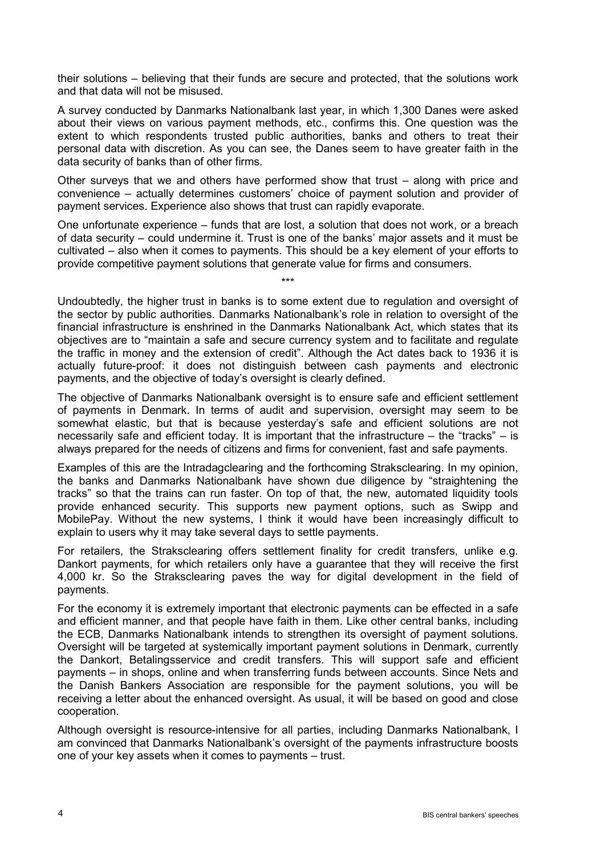their solutions – believing that their funds are secure and protected, that the solutions work and that data will not be misused.

A survey conducted by Danmarks Nationalbank last year, in which 1,300 Danes were asked about their views on various payment methods, etc., confirms this. One question was the extent to which respondents trusted public authorities, banks and others to treat their personal data with discretion. As you can see, the Danes seem to have greater faith in the data security of banks than of other firms.

Other surveys that we and others have performed show that trust – along with price and convenience – actually determines customers' choice of payment solution and provider of payment services. Experience also shows that trust can rapidly evaporate.

One unfortunate experience – funds that are lost, a solution that does not work, or a breach of data security – could undermine it. Trust is one of the banks' major assets and it must be cultivated – also when it comes to payments. This should be a key element of your efforts to provide competitive payment solutions that generate value for firms and consumers.

\*\*\*

Undoubtedly, the higher trust in banks is to some extent due to regulation and oversight of the sector by public authorities. Danmarks Nationalbank's role in relation to oversight of the financial infrastructure is enshrined in the Danmarks Nationalbank Act, which states that its objectives are to "maintain a safe and secure currency system and to facilitate and regulate the traffic in money and the extension of credit". Although the Act dates back to 1936 it is actually future-proof: it does not distinguish between cash payments and electronic payments, and the objective of today's oversight is clearly defined.

The objective of Danmarks Nationalbank oversight is to ensure safe and efficient settlement of payments in Denmark. In terms of audit and supervision, oversight may seem to be somewhat elastic, but that is because yesterday's safe and efficient solutions are not necessarily safe and efficient today. It is important that the infrastructure – the "tracks" – is always prepared for the needs of citizens and firms for convenient, fast and safe payments.

Examples of this are the Intradagclearing and the forthcoming Straksclearing. In my opinion, the banks and Danmarks Nationalbank have shown due diligence by "straightening the tracks" so that the trains can run faster. On top of that, the new, automated liquidity tools provide enhanced security. This supports new payment options, such as Swipp and MobilePay. Without the new systems, I think it would have been increasingly difficult to explain to users why it may take several days to settle payments.

For retailers, the Straksclearing offers settlement finality for credit transfers, unlike e.g. Dankort payments, for which retailers only have a guarantee that they will receive the first 4,000 kr. So the Straksclearing paves the way for digital development in the field of payments.

For the economy it is extremely important that electronic payments can be effected in a safe and efficient manner, and that people have faith in them. Like other central banks, including the ECB, Danmarks Nationalbank intends to strengthen its oversight of payment solutions. Oversight will be targeted at systemically important payment solutions in Denmark, currently the Dankort, Betalingsservice and credit transfers. This will support safe and efficient payments – in shops, online and when transferring funds between accounts. Since Nets and the Danish Bankers Association are responsible for the payment solutions, you will be receiving a letter about the enhanced oversight. As usual, it will be based on good and close cooperation.

Although oversight is resource-intensive for all parties, including Danmarks Nationalbank, I am convinced that Danmarks Nationalbank's oversight of the payments infrastructure boosts one of your key assets when it comes to payments – trust.